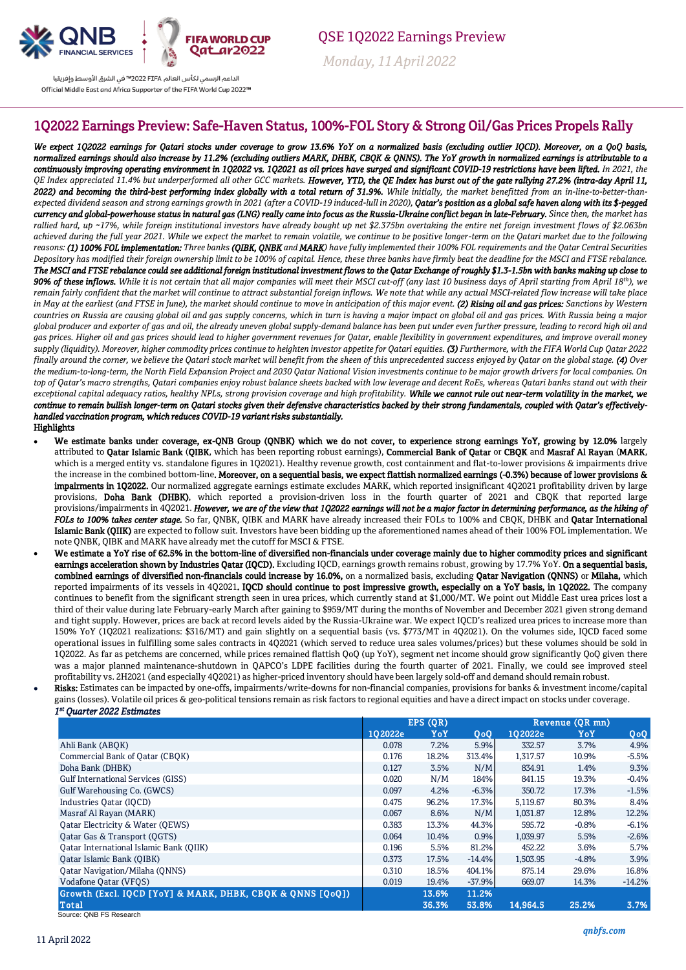

QSE 1Q2022 Earnings Preview

 *Monday, 11April 2022*

## الداعم الرسمى لكأس العالم PIFA™ فى الشرق الأوسط وإفريقيا Official Middle East and Africa Supporter of the FIFA World Cup 2022™

## 1Q2022 Earnings Preview: Safe-Haven Status, 100%-FOL Story & Strong Oil/Gas Prices Propels Rally

*We expect 1Q2022 earnings for Qatari stocks under coverage to grow 13.6% YoY on a normalized basis (excluding outlier IQCD). Moreover, on a QoQ basis, normalized earnings should also increase by 11.2% (excluding outliers MARK, DHBK, CBQK & QNNS). The YoY growth in normalized earnings is attributable to a continuously improving operating environment in 1Q2022 vs. 1Q2021 as oil prices have surged and significant COVID-19 restrictions have been lifted. In 2021, the QE Index appreciated 11.4% but underperformed all other GCC markets. However, YTD, the QE Index has burst out of the gate rallying 27.2% (intra-day April 11,*  2022) and becoming the third-best performing index globally with a total return of 31.9%. While initially, the market benefitted from an in-line-to-better-than*expected dividend season and strong earnings growth in 2021 (after a COVID-19 induced-lull in 2020), Qatar's position as a global safe haven along with its \$-pegged currency and global-powerhouse status in natural gas (LNG) really came into focus as the Russia-Ukraine conflict began in late-February. Since then, the market has rallied hard, up ~17%, while foreign institutional investors have already bought up net \$2.375bn overtaking the entire net foreign investment flows of \$2.063bn achieved during the full year 2021. While we expect the market to remain volatile, we continue to be positive longer-term on the Qatari market due to the following reasons: (1) 100% FOL implementation: Three banks (QIBK, QNBK and MARK) have fully implemented their 100% FOL requirements and the Qatar Central Securities Depository has modified their foreign ownership limit to be 100% of capital. Hence, these three banks have firmly beat the deadline for the MSCI and FTSE rebalance. The MSCI and FTSE rebalance could see additional foreign institutional investment flows to the Qatar Exchange of roughly \$1.3-1.5bn with banks making up close to 90% of these inflows. While it is not certain that all major companies will meet their MSCI cut-off (any last 10 business days of April starting from April 18th), we remain fairly confident that the market will continue to attract substantial foreign inflows. We note that while any actual MSCI-related flow increase will take place*  in May at the earliest (and FTSE in June), the market should continue to move in anticipation of this major event. (2) Rising oil and gas prices: Sanctions by Western *countries on Russia are causing global oil and gas supply concerns, which in turn is having a major impact on global oil and gas prices. With Russia being a major global producer and exporter of gas and oil, the already uneven global supply-demand balance has been put under even further pressure, leading to record high oil and gas prices. Higher oil and gas prices should lead to higher government revenues for Qatar, enable flexibility in government expenditures, and improve overall money supply (liquidity). Moreover, higher commodity prices continue to heighten investor appetite for Qatari equities. (3) Furthermore, with the FIFA World Cup Qatar 2022 finally around the corner, we believe the Qatari stock market will benefit from the sheen of this unprecedented success enjoyed by Qatar on the global stage. (4) Over the medium-to-long-term, the North Field Expansion Project and 2030 Qatar National Vision investments continue to be major growth drivers for local companies. On top of Qatar's macro strengths, Qatari companies enjoy robust balance sheets backed with low leverage and decent RoEs, whereas Qatari banks stand out with their*  exceptional capital adequacy ratios, healthy NPLs, strong provision coverage and high profitability. While we cannot rule out near-term volatility in the market, we *continue to remain bullish longer-term on Qatari stocks given their defensive characteristics backed by their strong fundamentals, coupled with Qatar's effectivelyhandled vaccination program, which reduces COVID-19 variant risks substantially.*  Highlights

- We estimate banks under coverage, ex-QNB Group (QNBK) which we do not cover, to experience strong earnings YoY, growing by 12.0% largely attributed to Qatar Islamic Bank (QIBK, which has been reporting robust earnings), Commercial Bank of Qatar or CBQK and Masraf Al Rayan (MARK, which is a merged entity vs. standalone figures in 1Q2021). Healthy revenue growth, cost containment and flat-to-lower provisions & impairments drive the increase in the combined bottom-line. Moreover, on a sequential basis, we expect flattish normalized earnings (-0.3%) because of lower provisions & impairments in 1Q2022. Our normalized aggregate earnings estimate excludes MARK, which reported insignificant 4Q2021 profitability driven by large provisions, Doha Bank (DHBK), which reported a provision-driven loss in the fourth quarter of 2021 and CBQK that reported large provisions/impairments in 4Q2021. *However, we are of the view that 1Q2022 earnings will not be a major factor in determining performance, as the hiking of FOLs to 100% takes center stage.* So far, QNBK, QIBK and MARK have already increased their FOLs to 100% and CBQK, DHBK and Qatar International Islamic Bank (OIIK) are expected to follow suit. Investors have been bidding up the aforementioned names ahead of their 100% FOL implementation. We note QNBK, QIBK and MARK have already met the cutoff for MSCI & FTSE.
- We estimate a YoY rise of 62.5% in the bottom-line of diversified non-financials under coverage mainly due to higher commodity prices and significant earnings acceleration shown by Industries Qatar (IQCD). Excluding IQCD, earnings growth remains robust, growing by 17.7% YoY. On a sequential basis, combined earnings of diversified non-financials could increase by 16.0%, on a normalized basis, excluding Qatar Navigation (QNNS) or Milaha, which reported impairments of its vessels in 4Q2021. IQCD should continue to post impressive growth, especially on a YoY basis, in 1Q2022. The company continues to benefit from the significant strength seen in urea prices, which currently stand at \$1,000/MT. We point out Middle East urea prices lost a third of their value during late February-early March after gaining to \$959/MT during the months of November and December 2021 given strong demand and tight supply. However, prices are back at record levels aided by the Russia-Ukraine war. We expect IQCD's realized urea prices to increase more than 150% YoY (1Q2021 realizations: \$316/MT) and gain slightly on a sequential basis (vs. \$773/MT in 4Q2021). On the volumes side, IQCD faced some operational issues in fulfilling some sales contracts in 4Q2021 (which served to reduce urea sales volumes/prices) but these volumes should be sold in 1Q2022. As far as petchems are concerned, while prices remained flattish QoQ (up YoY), segment net income should grow significantly QoQ given there was a major planned maintenance-shutdown in QAPCO's LDPE facilities during the fourth quarter of 2021. Finally, we could see improved steel profitability vs. 2H2021 (and especially 4Q2021) as higher-priced inventory should have been largely sold-off and demand should remain robust.

Risks: Estimates can be impacted by one-offs, impairments/write-downs for non-financial companies, provisions for banks & investment income/capital gains (losses). Volatile oil prices & geo-political tensions remain as risk factors to regional equities and have a direct impact on stocks under coverage. *1 st Quarter 2022 Estimates* 

|                                                           | EPS (QR) |       |          | Revenue (OR mn) |         |          |
|-----------------------------------------------------------|----------|-------|----------|-----------------|---------|----------|
|                                                           | 102022e  | YoY   | QoQ      | 102022e         | YoY     | QoQ      |
| Ahli Bank (ABOK)                                          | 0.078    | 7.2%  | 5.9%     | 332.57          | 3.7%    | 4.9%     |
| Commercial Bank of Qatar (CBQK)                           | 0.176    | 18.2% | 313.4%   | 1,317.57        | 10.9%   | $-5.5%$  |
| Doha Bank (DHBK)                                          | 0.127    | 3.5%  | N/M      | 834.91          | 1.4%    | 9.3%     |
| <b>Gulf International Services (GISS)</b>                 | 0.020    | N/M   | 184%     | 841.15          | 19.3%   | $-0.4%$  |
| Gulf Warehousing Co. (GWCS)                               | 0.097    | 4.2%  | $-6.3%$  | 350.72          | 17.3%   | $-1.5%$  |
| Industries Oatar (IOCD)                                   | 0.475    | 96.2% | 17.3%    | 5,119.67        | 80.3%   | 8.4%     |
| Masraf Al Rayan (MARK)                                    | 0.067    | 8.6%  | N/M      | 1,031.87        | 12.8%   | 12.2%    |
| Oatar Electricity & Water (OEWS)                          | 0.383    | 13.3% | 44.3%    | 595.72          | $-0.8%$ | $-6.1%$  |
| Qatar Gas & Transport (QGTS)                              | 0.064    | 10.4% | 0.9%     | 1,039.97        | 5.5%    | $-2.6%$  |
| Oatar International Islamic Bank (OIIK)                   | 0.196    | 5.5%  | 81.2%    | 452.22          | 3.6%    | 5.7%     |
| Oatar Islamic Bank (OIBK)                                 | 0.373    | 17.5% | $-14.4%$ | 1,503.95        | $-4.8%$ | 3.9%     |
| Qatar Navigation/Milaha (QNNS)                            | 0.310    | 18.5% | 404.1%   | 875.14          | 29.6%   | 16.8%    |
| Vodafone Oatar (VFOS)                                     | 0.019    | 19.4% | $-37.9%$ | 669.07          | 14.3%   | $-14.2%$ |
| Growth (Excl. IOCD [YoY] & MARK, DHBK, CBOK & ONNS [OoO]) |          | 13.6% | 11.2%    |                 |         |          |
| Total                                                     |          | 36.3% | 53.8%    | 14.964.5        | 25.2%   | 3.7%     |

Source: QNB FS Research